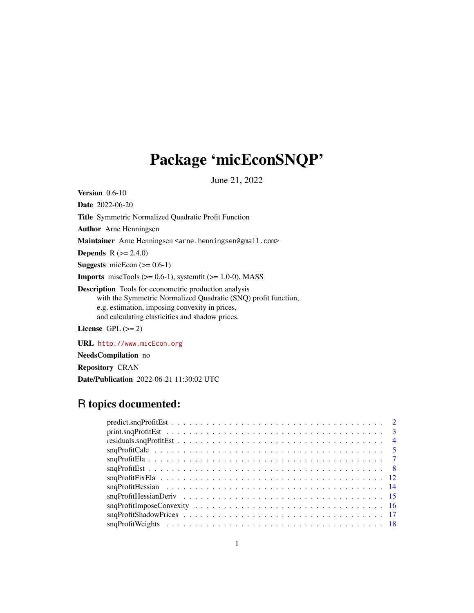## Package 'micEconSNQP'

June 21, 2022

<span id="page-0-0"></span>**Version** 0.6-10

Date 2022-06-20

Title Symmetric Normalized Quadratic Profit Function

Author Arne Henningsen

Maintainer Arne Henningsen <arne.henningsen@gmail.com>

**Depends** R  $(>= 2.4.0)$ 

**Suggests** micEcon  $(>= 0.6-1)$ 

**Imports** miscTools  $(>= 0.6-1)$ , systemfit  $(>= 1.0-0)$ , MASS

Description Tools for econometric production analysis with the Symmetric Normalized Quadratic (SNQ) profit function, e.g. estimation, imposing convexity in prices, and calculating elasticities and shadow prices.

License GPL  $(>= 2)$ 

URL <http://www.micEcon.org>

NeedsCompilation no

Repository CRAN

Date/Publication 2022-06-21 11:30:02 UTC

## R topics documented:

| $predict \text{snqProfitEst} \dots \dots \dots \dots \dots \dots \dots \dots \dots \dots \dots \dots \dots \dots \dots \dots$                                                                                                                                                                                            |  |  |  |  |  |
|--------------------------------------------------------------------------------------------------------------------------------------------------------------------------------------------------------------------------------------------------------------------------------------------------------------------------|--|--|--|--|--|
|                                                                                                                                                                                                                                                                                                                          |  |  |  |  |  |
|                                                                                                                                                                                                                                                                                                                          |  |  |  |  |  |
|                                                                                                                                                                                                                                                                                                                          |  |  |  |  |  |
|                                                                                                                                                                                                                                                                                                                          |  |  |  |  |  |
|                                                                                                                                                                                                                                                                                                                          |  |  |  |  |  |
|                                                                                                                                                                                                                                                                                                                          |  |  |  |  |  |
|                                                                                                                                                                                                                                                                                                                          |  |  |  |  |  |
|                                                                                                                                                                                                                                                                                                                          |  |  |  |  |  |
| $\text{snqProfit}$ $\text{t}$ $\text{t}$ $\text{t}$ $\text{t}$ $\text{t}$ $\text{t}$ $\text{t}$ $\text{t}$ $\text{t}$ $\text{t}$ $\text{t}$ $\text{t}$ $\text{t}$ $\text{t}$ $\text{t}$ $\text{t}$ $\text{t}$ $\text{t}$ $\text{t}$ $\text{t}$ $\text{t}$ $\text{t}$ $\text{t}$ $\text{t}$ $\text{t}$ $\text{t}$ $\text$ |  |  |  |  |  |
|                                                                                                                                                                                                                                                                                                                          |  |  |  |  |  |
|                                                                                                                                                                                                                                                                                                                          |  |  |  |  |  |
|                                                                                                                                                                                                                                                                                                                          |  |  |  |  |  |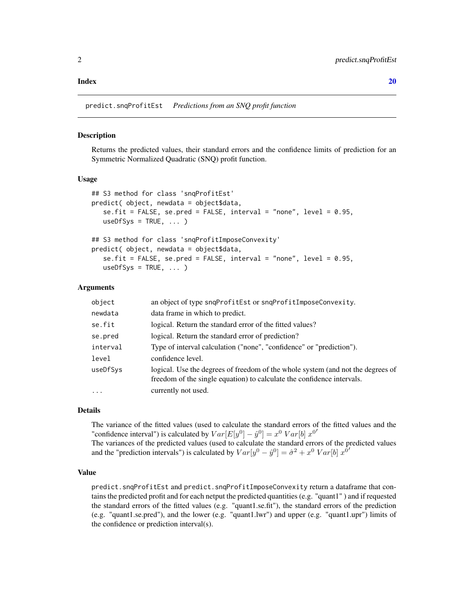#### <span id="page-1-0"></span> $\bf 1$ ndex  $\bf 20$  $\bf 20$

predict.snqProfitEst *Predictions from an SNQ profit function*

## Description

Returns the predicted values, their standard errors and the confidence limits of prediction for an Symmetric Normalized Quadratic (SNQ) profit function.

## Usage

```
## S3 method for class 'snqProfitEst'
predict( object, newdata = object$data,
   se.fit = FALSE, se.pred = FALSE, interval = "none", level = 0.95,
   useDfSys = TRUE, ... )## S3 method for class 'snqProfitImposeConvexity'
predict( object, newdata = object$data,
```

```
se.fit = FALSE, se.pred = FALSE, interval = "none", level = 0.95,
useDfSys = TRUE, ... )
```
#### Arguments

| object   | an object of type snqProfitEst or snqProfitImposeConvexity.                                                                                               |
|----------|-----------------------------------------------------------------------------------------------------------------------------------------------------------|
| newdata  | data frame in which to predict.                                                                                                                           |
| se.fit   | logical. Return the standard error of the fitted values?                                                                                                  |
| se.pred  | logical. Return the standard error of prediction?                                                                                                         |
| interval | Type of interval calculation ("none", "confidence" or "prediction").                                                                                      |
| level    | confidence level.                                                                                                                                         |
| useDfSys | logical. Use the degrees of freedom of the whole system (and not the degrees of<br>freedom of the single equation) to calculate the confidence intervals. |
| $\ddots$ | currently not used.                                                                                                                                       |

#### Details

The variance of the fitted values (used to calculate the standard errors of the fitted values and the "confidence interval") is calculated by  $Var[E[y^0] - \hat{y}^0] = x^0 Var[b] x^{0}$ 

The variances of the predicted values (used to calculate the standard errors of the predicted values and the "prediction intervals") is calculated by  $Var[y^0 - \hat{y}^0] = \hat{\sigma}^2 + x^0 Var[b] x^{\hat{0}'}$ 

## Value

predict.snqProfitEst and predict.snqProfitImposeConvexity return a dataframe that contains the predicted profit and for each netput the predicted quantities (e.g. "quant1" ) and if requested the standard errors of the fitted values (e.g. "quant1.se.fit"), the standard errors of the prediction (e.g. "quant1.se.pred"), and the lower (e.g. "quant1.lwr") and upper (e.g. "quant1.upr") limits of the confidence or prediction interval(s).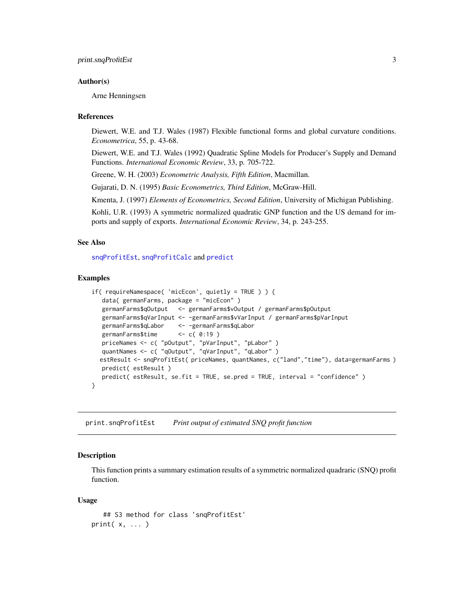## <span id="page-2-0"></span>Author(s)

Arne Henningsen

#### References

Diewert, W.E. and T.J. Wales (1987) Flexible functional forms and global curvature conditions. *Econometrica*, 55, p. 43-68.

Diewert, W.E. and T.J. Wales (1992) Quadratic Spline Models for Producer's Supply and Demand Functions. *International Economic Review*, 33, p. 705-722.

Greene, W. H. (2003) *Econometric Analysis, Fifth Edition*, Macmillan.

Gujarati, D. N. (1995) *Basic Econometrics, Third Edition*, McGraw-Hill.

Kmenta, J. (1997) *Elements of Econometrics, Second Edition*, University of Michigan Publishing.

Kohli, U.R. (1993) A symmetric normalized quadratic GNP function and the US demand for imports and supply of exports. *International Economic Review*, 34, p. 243-255.

## See Also

[snqProfitEst](#page-7-1), [snqProfitCalc](#page-4-1) and [predict](#page-0-0)

#### Examples

```
if( requireNamespace( 'micEcon', quietly = TRUE ) ) {
   data( germanFarms, package = "micEcon" )
  germanFarms$qOutput <- germanFarms$vOutput / germanFarms$pOutput
  germanFarms$qVarInput <- -germanFarms$vVarInput / germanFarms$pVarInput
  germanFarms$qLabor <- -germanFarms$qLabor
  germanFarms$time <- c( 0:19 )
   priceNames <- c( "pOutput", "pVarInput", "pLabor" )
   quantNames <- c( "qOutput", "qVarInput", "qLabor" )
  estResult <- snqProfitEst( priceNames, quantNames, c("land","time"), data=germanFarms )
  predict( estResult )
  predict( estResult, se.fit = TRUE, se.pred = TRUE, interval = "confidence" )
}
```
print.snqProfitEst *Print output of estimated SNQ profit function*

## Description

This function prints a summary estimation results of a symmetric normalized quadraric (SNQ) profit function.

```
## S3 method for class 'snqProfitEst'
print( x, ... )
```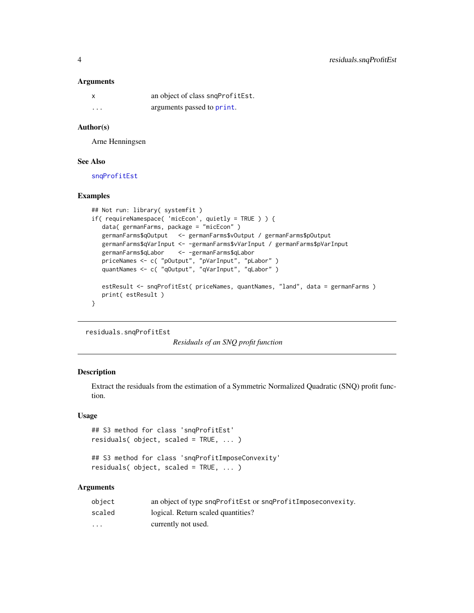## **Arguments**

| x       | an object of class snqProfitEst. |
|---------|----------------------------------|
| $\cdot$ | arguments passed to print.       |

## Author(s)

Arne Henningsen

## See Also

[snqProfitEst](#page-7-1)

## Examples

```
## Not run: library( systemfit )
if( requireNamespace( 'micEcon', quietly = TRUE ) ) {
  data( germanFarms, package = "micEcon" )
  germanFarms$qOutput <- germanFarms$vOutput / germanFarms$pOutput
  germanFarms$qVarInput <- -germanFarms$vVarInput / germanFarms$pVarInput
  germanFarms$qLabor <- -germanFarms$qLabor
   priceNames <- c( "pOutput", "pVarInput", "pLabor" )
   quantNames <- c( "qOutput", "qVarInput", "qLabor" )
  estResult <- snqProfitEst( priceNames, quantNames, "land", data = germanFarms )
  print( estResult )
}
```
residuals.snqProfitEst

*Residuals of an SNQ profit function*

## Description

Extract the residuals from the estimation of a Symmetric Normalized Quadratic (SNQ) profit function.

## Usage

```
## S3 method for class 'snqProfitEst'
residuals( object, scaled = TRUE, ... )
```

```
## S3 method for class 'snqProfitImposeConvexity'
residuals( object, scaled = TRUE, ... )
```
## Arguments

| object   | an object of type sngProfitEst or sngProfitImposeconvexity. |
|----------|-------------------------------------------------------------|
| scaled   | logical. Return scaled quantities?                          |
| $\cdots$ | currently not used.                                         |

<span id="page-3-0"></span>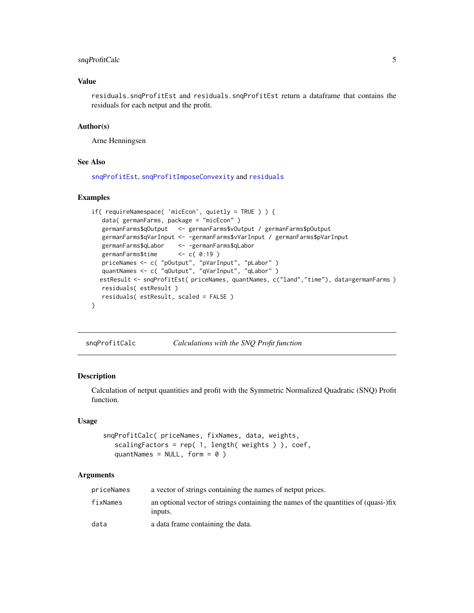## <span id="page-4-0"></span>snqProfitCalc 5

## Value

residuals.snqProfitEst and residuals.snqProfitEst return a dataframe that contains the residuals for each netput and the profit.

## Author(s)

Arne Henningsen

## See Also

[snqProfitEst](#page-7-1), [snqProfitImposeConvexity](#page-15-1) and [residuals](#page-0-0)

## Examples

```
if( requireNamespace( 'micEcon', quietly = TRUE ) ) {
  data( germanFarms, package = "micEcon" )
  germanFarms$qOutput <- germanFarms$vOutput / germanFarms$pOutput
  germanFarms$qVarInput <- -germanFarms$vVarInput / germanFarms$pVarInput
  germanFarms$qLabor <- -germanFarms$qLabor
  germanFarms$time <- c( 0:19 )
  priceNames <- c( "pOutput", "pVarInput", "pLabor" )
  quantNames <- c( "qOutput", "qVarInput", "qLabor" )
  estResult <- snqProfitEst( priceNames, quantNames, c("land","time"), data=germanFarms )
  residuals( estResult )
  residuals( estResult, scaled = FALSE )
}
```
<span id="page-4-1"></span>snqProfitCalc *Calculations with the SNQ Profit function*

## Description

Calculation of netput quantities and profit with the Symmetric Normalized Quadratic (SNQ) Profit function.

## Usage

```
snqProfitCalc( priceNames, fixNames, data, weights,
  scalingFactors = rep( 1, length( weights ) ), coef,
  quantNames = NULL, form = 0)
```
## Arguments

| priceNames | a vector of strings containing the names of netput prices.                                     |
|------------|------------------------------------------------------------------------------------------------|
| fixNames   | an optional vector of strings containing the names of the quantities of (quasi-)fix<br>inputs. |
| data       | a data frame containing the data.                                                              |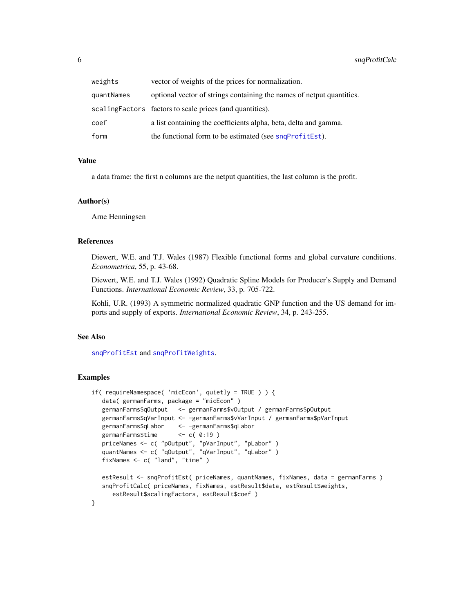<span id="page-5-0"></span>

| weights    | vector of weights of the prices for normalization.                    |
|------------|-----------------------------------------------------------------------|
| quantNames | optional vector of strings containing the names of netput quantities. |
|            | scaling Factors factors to scale prices (and quantities).             |
| coef       | a list containing the coefficients alpha, beta, delta and gamma.      |
| form       | the functional form to be estimated (see snqProfitEst).               |

#### Value

a data frame: the first n columns are the netput quantities, the last column is the profit.

## Author(s)

Arne Henningsen

## References

Diewert, W.E. and T.J. Wales (1987) Flexible functional forms and global curvature conditions. *Econometrica*, 55, p. 43-68.

Diewert, W.E. and T.J. Wales (1992) Quadratic Spline Models for Producer's Supply and Demand Functions. *International Economic Review*, 33, p. 705-722.

Kohli, U.R. (1993) A symmetric normalized quadratic GNP function and the US demand for imports and supply of exports. *International Economic Review*, 34, p. 243-255.

#### See Also

[snqProfitEst](#page-7-1) and [snqProfitWeights](#page-17-1).

```
if( requireNamespace( 'micEcon', quietly = TRUE ) ) {
  data( germanFarms, package = "micEcon" )
  germanFarms$qOutput <- germanFarms$vOutput / germanFarms$pOutput
  germanFarms$qVarInput <- -germanFarms$vVarInput / germanFarms$pVarInput
  germanFarms$qLabor <- -germanFarms$qLabor
  germanFarms$time <- c( 0:19 )
   priceNames <- c( "pOutput", "pVarInput", "pLabor" )
   quantNames <- c( "qOutput", "qVarInput", "qLabor" )
  fixNames <- c( "land", "time" )
  estResult <- snqProfitEst( priceNames, quantNames, fixNames, data = germanFarms )
  snqProfitCalc( priceNames, fixNames, estResult$data, estResult$weights,
     estResult$scalingFactors, estResult$coef )
}
```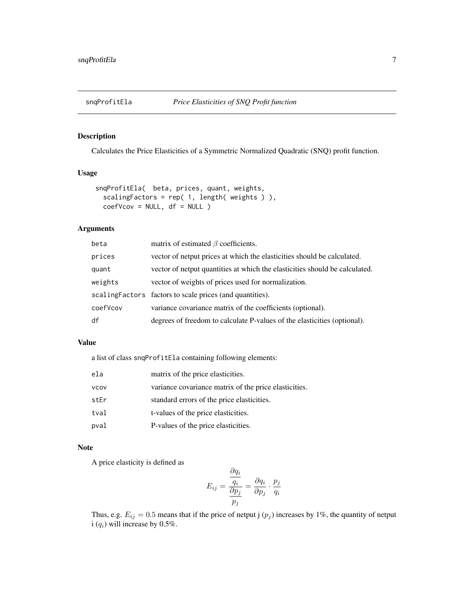<span id="page-6-1"></span><span id="page-6-0"></span>

## Description

Calculates the Price Elasticities of a Symmetric Normalized Quadratic (SNQ) profit function.

## Usage

```
snqProfitEla( beta, prices, quant, weights,
 scalingFactors = rep( 1, length( weights ) ),
 coefVcov = NULL, df = NULL)
```
## Arguments

| beta     | matrix of estimated $\beta$ coefficients.                                   |
|----------|-----------------------------------------------------------------------------|
| prices   | vector of netput prices at which the elasticities should be calculated.     |
| quant    | vector of netput quantities at which the elasticities should be calculated. |
| weights  | vector of weights of prices used for normalization.                         |
|          | scaling Factors factors to scale prices (and quantities).                   |
| coefVcov | variance covariance matrix of the coefficients (optional).                  |
| df       | degrees of freedom to calculate P-values of the elasticities (optional).    |

## Value

a list of class snqProfitEla containing following elements:

| ela         | matrix of the price elasticities.                     |
|-------------|-------------------------------------------------------|
| <b>VCOV</b> | variance covariance matrix of the price elasticities. |
| stEr        | standard errors of the price elasticities.            |
| tval        | t-values of the price elasticities.                   |
| pval        | P-values of the price elasticities.                   |

## Note

A price elasticity is defined as

$$
E_{ij} = \frac{\frac{\partial q_i}{q_i}}{\frac{\partial p_j}{p_j}} = \frac{\partial q_i}{\partial p_j} \cdot \frac{p_j}{q_i}
$$

Thus, e.g.  $E_{ij} = 0.5$  means that if the price of netput j  $(p_j)$  increases by 1%, the quantity of netput i  $(q_i)$  will increase by 0.5%.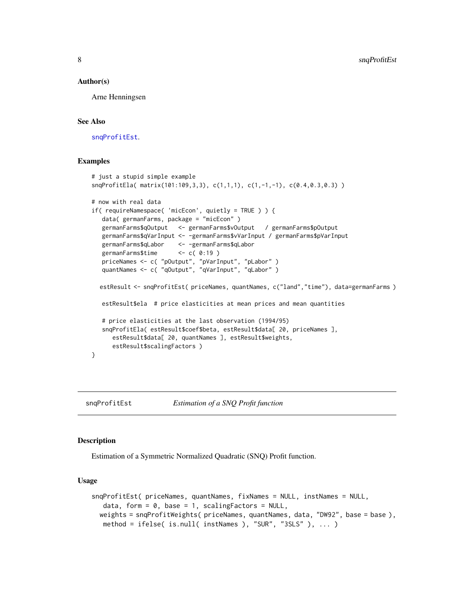## <span id="page-7-0"></span>Author(s)

Arne Henningsen

#### See Also

[snqProfitEst](#page-7-1).

## Examples

```
# just a stupid simple example
snqProfitEla( matrix(101:109,3,3), c(1,1,1), c(1,-1,-1), c(0.4,0.3,0.3) )
# now with real data
if( requireNamespace( 'micEcon', quietly = TRUE ) ) {
  data( germanFarms, package = "micEcon" )
  germanFarms$qOutput <- germanFarms$vOutput / germanFarms$pOutput
  germanFarms$qVarInput <- -germanFarms$vVarInput / germanFarms$pVarInput
  germanFarms$qLabor <- -germanFarms$qLabor
   germanFarms$time <- c( 0:19 )
  priceNames <- c( "pOutput", "pVarInput", "pLabor" )
  quantNames <- c( "qOutput", "qVarInput", "qLabor" )
  estResult <- snqProfitEst( priceNames, quantNames, c("land","time"), data=germanFarms )
  estResult$ela # price elasticities at mean prices and mean quantities
   # price elasticities at the last observation (1994/95)
   snqProfitEla( estResult$coef$beta, estResult$data[ 20, priceNames ],
     estResult$data[ 20, quantNames ], estResult$weights,
     estResult$scalingFactors )
}
```
<span id="page-7-1"></span>snqProfitEst *Estimation of a SNQ Profit function*

#### **Description**

Estimation of a Symmetric Normalized Quadratic (SNQ) Profit function.

```
snqProfitEst( priceNames, quantNames, fixNames = NULL, instNames = NULL,
  data, form = 0, base = 1, scalingFactors = NULL,
 weights = snqProfitWeights( priceNames, quantNames, data, "DW92", base = base ),
  method = ifelse( is.null( instNames ), "SUR", "3SLS" ), ... )
```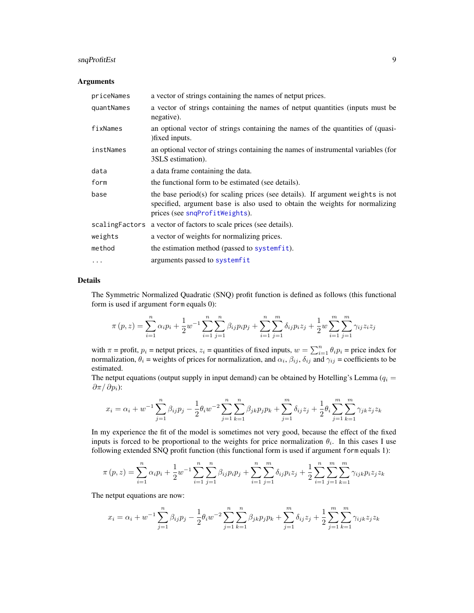## <span id="page-8-0"></span>snqProfitEst 9

## Arguments

| priceNames | a vector of strings containing the names of netput prices.                                                                                                                                       |
|------------|--------------------------------------------------------------------------------------------------------------------------------------------------------------------------------------------------|
| quantNames | a vector of strings containing the names of netput quantities (inputs must be<br>negative).                                                                                                      |
| fixNames   | an optional vector of strings containing the names of the quantities of (quasi-<br>) fixed inputs.                                                                                               |
| instNames  | an optional vector of strings containing the names of instrumental variables (for<br>3SLS estimation).                                                                                           |
| data       | a data frame containing the data.                                                                                                                                                                |
| form       | the functional form to be estimated (see details).                                                                                                                                               |
| base       | the base period(s) for scaling prices (see details). If argument weights is not<br>specified, argument base is also used to obtain the weights for normalizing<br>prices (see snqProfitWeights). |
|            | scalingFactors a vector of factors to scale prices (see details).                                                                                                                                |
| weights    | a vector of weights for normalizing prices.                                                                                                                                                      |
| method     | the estimation method (passed to systemfit).                                                                                                                                                     |
| $\cdots$   | arguments passed to systemfit                                                                                                                                                                    |

## Details

The Symmetric Normalized Quadratic (SNQ) profit function is defined as follows (this functional form is used if argument form equals 0):

$$
\pi(p, z) = \sum_{i=1}^{n} \alpha_i p_i + \frac{1}{2} w^{-1} \sum_{i=1}^{n} \sum_{j=1}^{n} \beta_{ij} p_i p_j + \sum_{i=1}^{n} \sum_{j=1}^{m} \delta_{ij} p_i z_j + \frac{1}{2} w \sum_{i=1}^{m} \sum_{j=1}^{m} \gamma_{ij} z_i z_j
$$

with  $\pi$  = profit,  $p_i$  = netput prices,  $z_i$  = quantities of fixed inputs,  $w = \sum_{i=1}^n \theta_i p_i$  = price index for normalization,  $\theta_i$  = weights of prices for normalization, and  $\alpha_i$ ,  $\beta_{ij}$ ,  $\delta_{ij}$  and  $\gamma_{ij}$  = coefficients to be estimated.

The netput equations (output supply in input demand) can be obtained by Hotelling's Lemma ( $q_i =$  $\partial \pi / \partial p_i$ ):

$$
x_i = \alpha_i + w^{-1} \sum_{j=1}^n \beta_{ij} p_j - \frac{1}{2} \theta_i w^{-2} \sum_{j=1}^n \sum_{k=1}^n \beta_{jk} p_j p_k + \sum_{j=1}^m \delta_{ij} z_j + \frac{1}{2} \theta_i \sum_{j=1}^m \sum_{k=1}^m \gamma_{jk} z_j z_k
$$

In my experience the fit of the model is sometimes not very good, because the effect of the fixed inputs is forced to be proportional to the weights for price normalization  $\theta_i$ . In this cases I use following extended SNQ profit function (this functional form is used if argument form equals 1):

$$
\pi(p,z) = \sum_{i=1}^{n} \alpha_i p_i + \frac{1}{2} w^{-1} \sum_{i=1}^{n} \sum_{j=1}^{n} \beta_{ij} p_i p_j + \sum_{i=1}^{n} \sum_{j=1}^{m} \delta_{ij} p_i z_j + \frac{1}{2} \sum_{i=1}^{n} \sum_{j=1}^{m} \sum_{k=1}^{m} \gamma_{ijk} p_i z_j z_k
$$

The netput equations are now:

$$
x_i = \alpha_i + w^{-1} \sum_{j=1}^n \beta_{ij} p_j - \frac{1}{2} \theta_i w^{-2} \sum_{j=1}^n \sum_{k=1}^n \beta_{jk} p_j p_k + \sum_{j=1}^m \delta_{ij} z_j + \frac{1}{2} \sum_{j=1}^m \sum_{k=1}^m \gamma_{ijk} z_j z_k
$$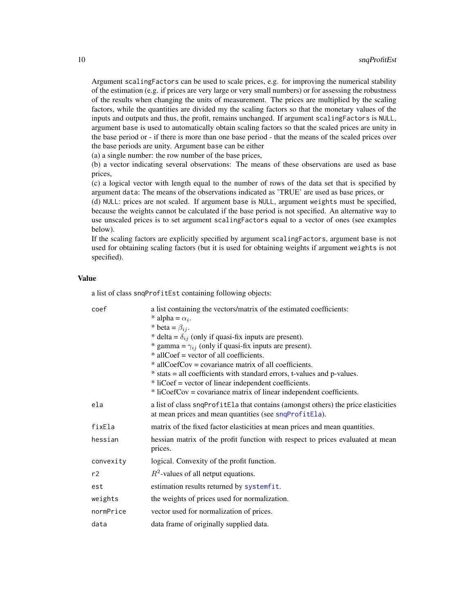Argument scalingFactors can be used to scale prices, e.g. for improving the numerical stability of the estimation (e.g. if prices are very large or very small numbers) or for assessing the robustness of the results when changing the units of measurement. The prices are multiplied by the scaling factors, while the quantities are divided my the scaling factors so that the monetary values of the inputs and outputs and thus, the profit, remains unchanged. If argument scalingFactors is NULL, argument base is used to automatically obtain scaling factors so that the scaled prices are unity in the base period or - if there is more than one base period - that the means of the scaled prices over the base periods are unity. Argument base can be either

(a) a single number: the row number of the base prices,

(b) a vector indicating several observations: The means of these observations are used as base prices,

(c) a logical vector with length equal to the number of rows of the data set that is specified by argument data: The means of the observations indicated as 'TRUE' are used as base prices, or

(d) NULL: prices are not scaled. If argument base is NULL, argument weights must be specified, because the weights cannot be calculated if the base period is not specified. An alternative way to use unscaled prices is to set argument scalingFactors equal to a vector of ones (see examples below).

If the scaling factors are explicitly specified by argument scalingFactors, argument base is not used for obtaining scaling factors (but it is used for obtaining weights if argument weights is not specified).

## Value

a list of class snqProfitEst containing following objects:

| coef      | a list containing the vectors/matrix of the estimated coefficients:                |
|-----------|------------------------------------------------------------------------------------|
|           | * alpha = $\alpha_i$ .                                                             |
|           | * beta = $\beta_{ij}$ .                                                            |
|           | * delta = $\delta_{ij}$ (only if quasi-fix inputs are present).                    |
|           | * gamma = $\gamma_{ij}$ (only if quasi-fix inputs are present).                    |
|           | * allCoef = vector of all coefficients.                                            |
|           | * allCoefCov = covariance matrix of all coefficients.                              |
|           | * stats = all coefficients with standard errors, t-values and p-values.            |
|           | * liCoef = vector of linear independent coefficients.                              |
|           | * liCoefCov = covariance matrix of linear independent coefficients.                |
| ela       | a list of class snqProfitEla that contains (amongst others) the price elasticities |
|           | at mean prices and mean quantities (see snqProfitEla).                             |
| fixEla    | matrix of the fixed factor elasticities at mean prices and mean quantities.        |
| hessian   | hessian matrix of the profit function with respect to prices evaluated at mean     |
|           | prices.                                                                            |
| convexity | logical. Convexity of the profit function.                                         |
| r2        | $R^2$ -values of all netput equations.                                             |
| est       | estimation results returned by systemfit.                                          |
| weights   | the weights of prices used for normalization.                                      |
| normPrice | vector used for normalization of prices.                                           |
| data      | data frame of originally supplied data.                                            |

<span id="page-9-0"></span>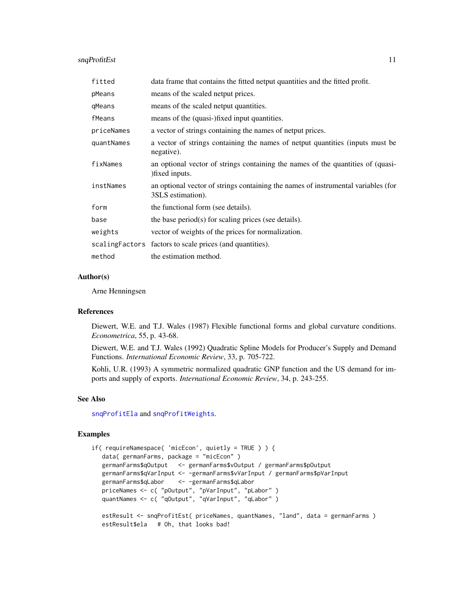## <span id="page-10-0"></span>snqProfitEst 11

| fitted     | data frame that contains the fitted netput quantities and the fitted profit.                           |
|------------|--------------------------------------------------------------------------------------------------------|
| pMeans     | means of the scaled netput prices.                                                                     |
| qMeans     | means of the scaled netput quantities.                                                                 |
| fMeans     | means of the (quasi-)fixed input quantities.                                                           |
| priceNames | a vector of strings containing the names of netput prices.                                             |
| quantNames | a vector of strings containing the names of netput quantities (inputs must be<br>negative).            |
| fixNames   | an optional vector of strings containing the names of the quantities of (quasi-<br>) fixed inputs.     |
| instNames  | an optional vector of strings containing the names of instrumental variables (for<br>3SLS estimation). |
| form       | the functional form (see details).                                                                     |
| base       | the base period(s) for scaling prices (see details).                                                   |
| weights    | vector of weights of the prices for normalization.                                                     |
|            | scaling Factors factors to scale prices (and quantities).                                              |
| method     | the estimation method.                                                                                 |

## Author(s)

Arne Henningsen

## References

Diewert, W.E. and T.J. Wales (1987) Flexible functional forms and global curvature conditions. *Econometrica*, 55, p. 43-68.

Diewert, W.E. and T.J. Wales (1992) Quadratic Spline Models for Producer's Supply and Demand Functions. *International Economic Review*, 33, p. 705-722.

Kohli, U.R. (1993) A symmetric normalized quadratic GNP function and the US demand for imports and supply of exports. *International Economic Review*, 34, p. 243-255.

## See Also

[snqProfitEla](#page-6-1) and [snqProfitWeights](#page-17-1).

```
if( requireNamespace( 'micEcon', quietly = TRUE ) ) {
  data( germanFarms, package = "micEcon" )
  germanFarms$qOutput <- germanFarms$vOutput / germanFarms$pOutput
  germanFarms$qVarInput <- -germanFarms$vVarInput / germanFarms$pVarInput
  germanFarms$qLabor <- -germanFarms$qLabor
   priceNames <- c( "pOutput", "pVarInput", "pLabor" )
   quantNames <- c( "qOutput", "qVarInput", "qLabor" )
  estResult <- snqProfitEst( priceNames, quantNames, "land", data = germanFarms )
  estResult$ela # Oh, that looks bad!
```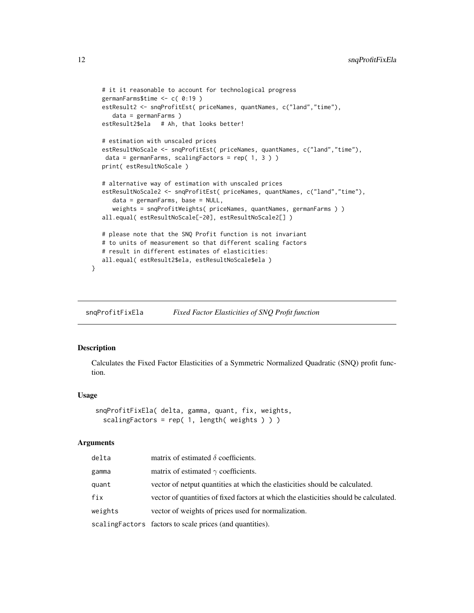```
# it it reasonable to account for technological progress
germanFarms$time <- c( 0:19 )
estResult2 <- snqProfitEst( priceNames, quantNames, c("land","time"),
   data = germanFarms )
estResult2$ela # Ah, that looks better!
# estimation with unscaled prices
estResultNoScale <- snqProfitEst( priceNames, quantNames, c("land","time"),
data = germanFarms, scalingFactors = rep( 1, 3 ) )
print( estResultNoScale )
# alternative way of estimation with unscaled prices
estResultNoScale2 <- snqProfitEst( priceNames, quantNames, c("land","time"),
   data = germanFarms, base = NULL,
   weights = snqProfitWeights( priceNames, quantNames, germanFarms ) )
all.equal( estResultNoScale[-20], estResultNoScale2[] )
# please note that the SNQ Profit function is not invariant
# to units of measurement so that different scaling factors
# result in different estimates of elasticities:
all.equal( estResult2$ela, estResultNoScale$ela )
```
snqProfitFixEla *Fixed Factor Elasticities of SNQ Profit function*

## Description

}

Calculates the Fixed Factor Elasticities of a Symmetric Normalized Quadratic (SNQ) profit function.

## Usage

```
snqProfitFixEla( delta, gamma, quant, fix, weights,
  scalingFactors = rep( 1, length( weights ) ) )
```
#### Arguments

| delta   | matrix of estimated $\delta$ coefficients.                                            |
|---------|---------------------------------------------------------------------------------------|
| gamma   | matrix of estimated $\gamma$ coefficients.                                            |
| quant   | vector of netput quantities at which the elasticities should be calculated.           |
| fix     | vector of quantities of fixed factors at which the elasticities should be calculated. |
| weights | vector of weights of prices used for normalization.                                   |
|         | scaling Factors factors to scale prices (and quantities).                             |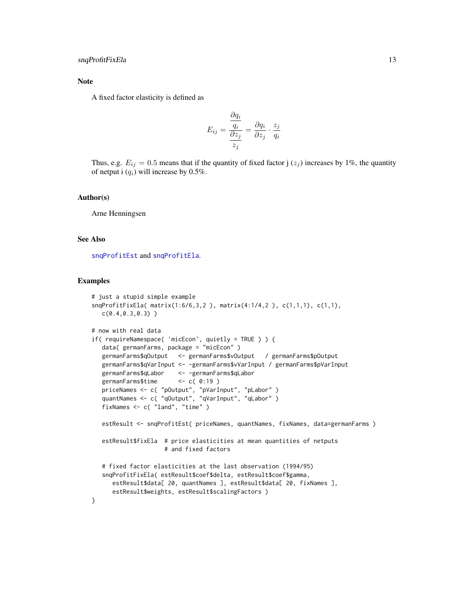## <span id="page-12-0"></span>Note

A fixed factor elasticity is defined as

$$
E_{ij} = \frac{\frac{\partial q_i}{q_i}}{\frac{\partial z_j}{z_j}} = \frac{\partial q_i}{\partial z_j} \cdot \frac{z_j}{q_i}
$$

Thus, e.g.  $E_{ij} = 0.5$  means that if the quantity of fixed factor j  $(z_j)$  increases by 1%, the quantity of netput i  $(q_i)$  will increase by 0.5%.

## Author(s)

Arne Henningsen

## See Also

[snqProfitEst](#page-7-1) and [snqProfitEla](#page-6-1).

```
# just a stupid simple example
snqProfitFixEla( matrix(1:6/6,3,2 ), matrix(4:1/4,2 ), c(1,1,1), c(1,1),
  c(0.4,0.3,0.3) )
# now with real data
if( requireNamespace( 'micEcon', quietly = TRUE ) ) {
   data( germanFarms, package = "micEcon" )
   germanFarms$qOutput <- germanFarms$vOutput / germanFarms$pOutput
  germanFarms$qVarInput <- -germanFarms$vVarInput / germanFarms$pVarInput
  germanFarms$qLabor <- -germanFarms$qLabor
  germanFarms$time <- c( 0:19 )
   priceNames <- c( "pOutput", "pVarInput", "pLabor" )
   quantNames <- c( "qOutput", "qVarInput", "qLabor" )
  fixNames <- c( "land", "time" )
  estResult <- snqProfitEst( priceNames, quantNames, fixNames, data=germanFarms )
   estResult$fixEla # price elasticities at mean quantities of netputs
                    # and fixed factors
   # fixed factor elasticities at the last observation (1994/95)
  snqProfitFixEla( estResult$coef$delta, estResult$coef$gamma,
     estResult$data[ 20, quantNames ], estResult$data[ 20, fixNames ],
     estResult$weights, estResult$scalingFactors )
}
```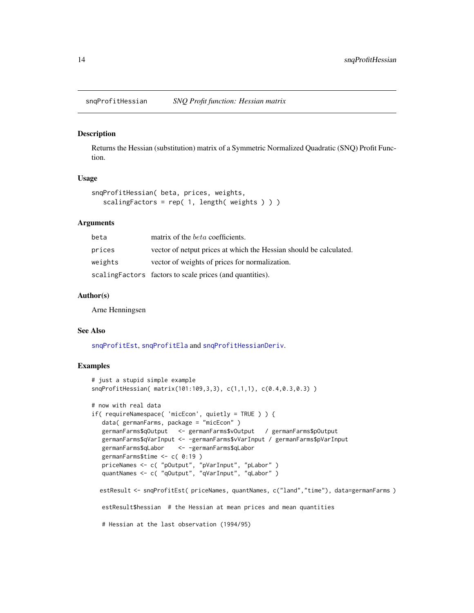<span id="page-13-1"></span><span id="page-13-0"></span>snqProfitHessian *SNQ Profit function: Hessian matrix*

## Description

Returns the Hessian (substitution) matrix of a Symmetric Normalized Quadratic (SNQ) Profit Function.

## Usage

```
snqProfitHessian( beta, prices, weights,
  scalingFactors = rep(1, length( weights)))
```
## Arguments

| beta    | matrix of the <i>beta</i> coefficients.                            |
|---------|--------------------------------------------------------------------|
| prices  | vector of netput prices at which the Hessian should be calculated. |
| weights | vector of weights of prices for normalization.                     |
|         | scaling Factors factors to scale prices (and quantities).          |

## Author(s)

Arne Henningsen

#### See Also

[snqProfitEst](#page-7-1), [snqProfitEla](#page-6-1) and [snqProfitHessianDeriv](#page-14-1).

```
# just a stupid simple example
snqProfitHessian( matrix(101:109,3,3), c(1,1,1), c(0.4,0.3,0.3) )
# now with real data
if( requireNamespace( 'micEcon', quietly = TRUE ) ) {
  data( germanFarms, package = "micEcon" )
  germanFarms$qOutput <- germanFarms$vOutput / germanFarms$pOutput
  germanFarms$qVarInput <- -germanFarms$vVarInput / germanFarms$pVarInput
  germanFarms$qLabor <- -germanFarms$qLabor
  germanFarms$time <- c( 0:19 )
   priceNames <- c( "pOutput", "pVarInput", "pLabor" )
   quantNames <- c( "qOutput", "qVarInput", "qLabor" )
  estResult <- snqProfitEst( priceNames, quantNames, c("land","time"), data=germanFarms )
  estResult$hessian # the Hessian at mean prices and mean quantities
  # Hessian at the last observation (1994/95)
```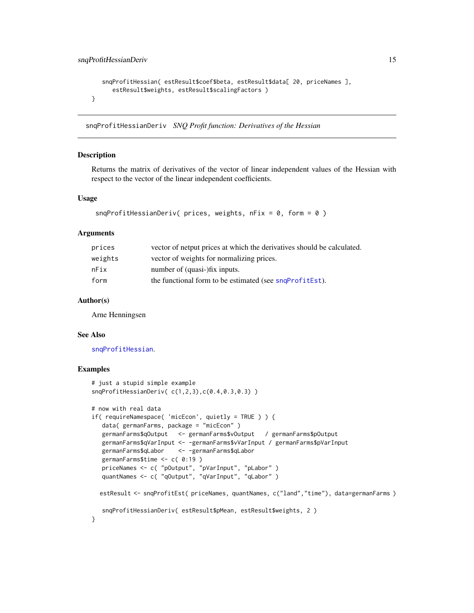```
snqProfitHessian( estResult$coef$beta, estResult$data[ 20, priceNames ],
     estResult$weights, estResult$scalingFactors )
}
```
<span id="page-14-1"></span>snqProfitHessianDeriv *SNQ Profit function: Derivatives of the Hessian*

## **Description**

Returns the matrix of derivatives of the vector of linear independent values of the Hessian with respect to the vector of the linear independent coefficients.

## Usage

```
snqProfitHessianDeriv( prices, weights, nFix = 0, form = 0)
```
#### Arguments

| prices  | vector of netput prices at which the derivatives should be calculated. |
|---------|------------------------------------------------------------------------|
| weights | vector of weights for normalizing prices.                              |
| nFix    | number of (quasi-)fix inputs.                                          |
| form    | the functional form to be estimated (see sngProfitEst).                |

## Author(s)

Arne Henningsen

#### See Also

[snqProfitHessian](#page-13-1).

```
# just a stupid simple example
snqProfitHessianDeriv( c(1,2,3),c(0.4,0.3,0.3) )
# now with real data
if( requireNamespace( 'micEcon', quietly = TRUE ) ) {
  data( germanFarms, package = "micEcon" )
  germanFarms$qOutput <- germanFarms$vOutput / germanFarms$pOutput
  germanFarms$qVarInput <- -germanFarms$vVarInput / germanFarms$pVarInput
  germanFarms$qLabor <- -germanFarms$qLabor
  germanFarms$time <- c( 0:19 )
  priceNames <- c( "pOutput", "pVarInput", "pLabor" )
  quantNames <- c( "qOutput", "qVarInput", "qLabor" )
  estResult <- snqProfitEst( priceNames, quantNames, c("land","time"), data=germanFarms )
   snqProfitHessianDeriv( estResult$pMean, estResult$weights, 2 )
}
```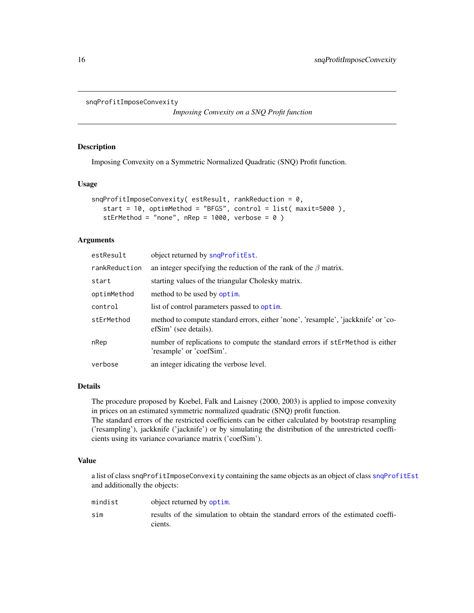```
snqProfitImposeConvexity
```
*Imposing Convexity on a SNQ Profit function*

## Description

Imposing Convexity on a Symmetric Normalized Quadratic (SNQ) Profit function.

### Usage

```
snqProfitImposeConvexity( estResult, rankReduction = 0,
   start = 10, optimMethod = "BFGS", control = list( maxit=5000 ),
   stErMethod = "none", nRep = 1000, verbose = 0)
```
## Arguments

| estResult     | object returned by snqProfitEst.                                                                           |
|---------------|------------------------------------------------------------------------------------------------------------|
| rankReduction | an integer specifying the reduction of the rank of the $\beta$ matrix.                                     |
| start         | starting values of the triangular Cholesky matrix.                                                         |
| optimMethod   | method to be used by optim.                                                                                |
| control       | list of control parameters passed to optim.                                                                |
| stErMethod    | method to compute standard errors, either 'none', 'resample', 'jackknife' or 'co-<br>efSim' (see details). |
| nRep          | number of replications to compute the standard errors if stErMethod is either<br>'resample' or 'coefSim'.  |
| verbose       | an integer idicating the verbose level.                                                                    |

## Details

The procedure proposed by Koebel, Falk and Laisney (2000, 2003) is applied to impose convexity in prices on an estimated symmetric normalized quadratic (SNQ) profit function. The standard errors of the restricted coefficients can be either calculated by bootstrap resampling ('resampling'), jackknife ('jacknife') or by simulating the distribution of the unrestricted coefficients using its variance covariance matrix ('coefSim').

## Value

a list of class snqProfitImposeConvexity containing the same objects as an object of class [snqProfitEst](#page-7-1) and additionally the objects:

| mindist | object returned by optim.                                                                   |
|---------|---------------------------------------------------------------------------------------------|
| sim     | results of the simulation to obtain the standard errors of the estimated coeffi-<br>cients. |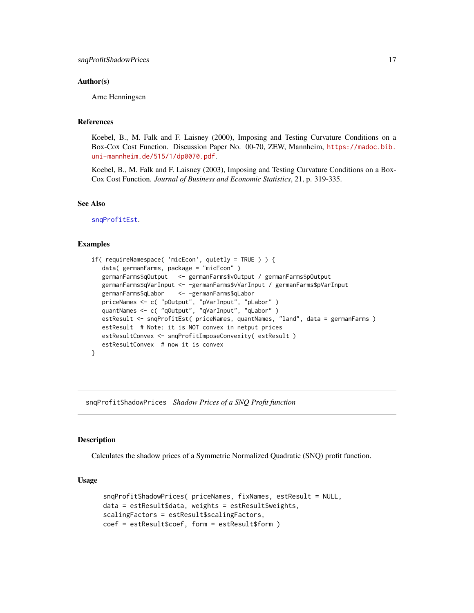## <span id="page-16-0"></span>Author(s)

Arne Henningsen

## References

Koebel, B., M. Falk and F. Laisney (2000), Imposing and Testing Curvature Conditions on a Box-Cox Cost Function. Discussion Paper No. 00-70, ZEW, Mannheim, [https://madoc.bib.](https://madoc.bib.uni-mannheim.de/515/1/dp0070.pdf) [uni-mannheim.de/515/1/dp0070.pdf](https://madoc.bib.uni-mannheim.de/515/1/dp0070.pdf).

Koebel, B., M. Falk and F. Laisney (2003), Imposing and Testing Curvature Conditions on a Box-Cox Cost Function. *Journal of Business and Economic Statistics*, 21, p. 319-335.

## See Also

[snqProfitEst](#page-7-1).

#### Examples

```
if( requireNamespace( 'micEcon', quietly = TRUE ) ) {
  data( germanFarms, package = "micEcon" )
  germanFarms$qOutput <- germanFarms$vOutput / germanFarms$pOutput
  germanFarms$qVarInput <- -germanFarms$vVarInput / germanFarms$pVarInput
  germanFarms$qLabor <- -germanFarms$qLabor
   priceNames <- c( "pOutput", "pVarInput", "pLabor" )
   quantNames <- c( "qOutput", "qVarInput", "qLabor" )
   estResult <- snqProfitEst( priceNames, quantNames, "land", data = germanFarms )
   estResult # Note: it is NOT convex in netput prices
  estResultConvex <- snqProfitImposeConvexity( estResult )
  estResultConvex # now it is convex
}
```
snqProfitShadowPrices *Shadow Prices of a SNQ Profit function*

#### **Description**

Calculates the shadow prices of a Symmetric Normalized Quadratic (SNQ) profit function.

```
snqProfitShadowPrices( priceNames, fixNames, estResult = NULL,
data = estResult$data, weights = estResult$weights,
scalingFactors = estResult$scalingFactors,
coef = estResult$coef, form = estResult$form )
```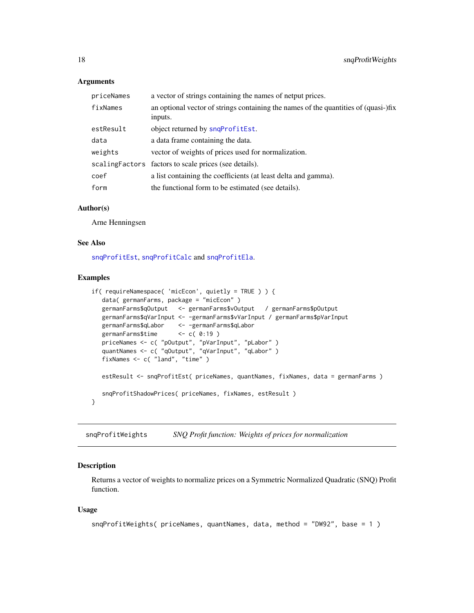## <span id="page-17-0"></span>**Arguments**

| priceNames | a vector of strings containing the names of netput prices.                                     |
|------------|------------------------------------------------------------------------------------------------|
| fixNames   | an optional vector of strings containing the names of the quantities of (quasi-)fix<br>inputs. |
| estResult  | object returned by snqProfitEst.                                                               |
| data       | a data frame containing the data.                                                              |
| weights    | vector of weights of prices used for normalization.                                            |
|            | scaling Factors factors to scale prices (see details).                                         |
| coef       | a list containing the coefficients (at least delta and gamma).                                 |
| form       | the functional form to be estimated (see details).                                             |

## Author(s)

Arne Henningsen

#### See Also

[snqProfitEst](#page-7-1), [snqProfitCalc](#page-4-1) and [snqProfitEla](#page-6-1).

#### Examples

```
if( requireNamespace( 'micEcon', quietly = TRUE ) ) {
  data( germanFarms, package = "micEcon" )
  germanFarms$qOutput <- germanFarms$vOutput / germanFarms$pOutput
  germanFarms$qVarInput <- -germanFarms$vVarInput / germanFarms$pVarInput
  germanFarms$qLabor <- -germanFarms$qLabor
  germanFarms$time <- c( 0:19 )
   priceNames <- c( "pOutput", "pVarInput", "pLabor" )
   quantNames <- c( "qOutput", "qVarInput", "qLabor" )
  fixNames <- c( "land", "time" )
  estResult <- snqProfitEst( priceNames, quantNames, fixNames, data = germanFarms )
  snqProfitShadowPrices( priceNames, fixNames, estResult )
}
```
<span id="page-17-1"></span>snqProfitWeights *SNQ Profit function: Weights of prices for normalization*

#### Description

Returns a vector of weights to normalize prices on a Symmetric Normalized Quadratic (SNQ) Profit function.

```
snqProfitWeights( priceNames, quantNames, data, method = "DW92", base = 1 )
```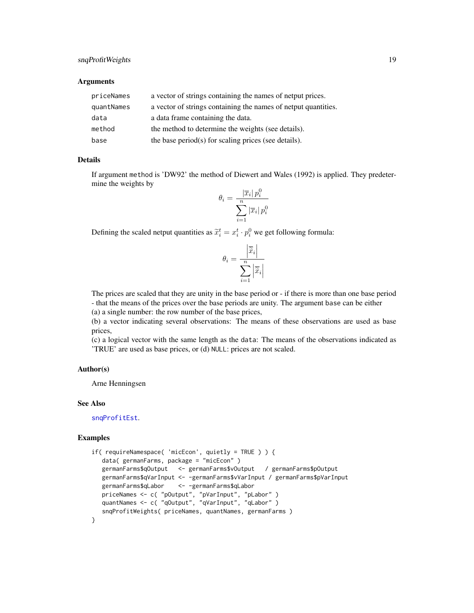## <span id="page-18-0"></span>snqProfitWeights 19

## **Arguments**

| priceNames | a vector of strings containing the names of netput prices.     |
|------------|----------------------------------------------------------------|
| quantNames | a vector of strings containing the names of netput quantities. |
| data       | a data frame containing the data.                              |
| method     | the method to determine the weights (see details).             |
| base       | the base period(s) for scaling prices (see details).           |

## Details

If argument method is 'DW92' the method of Diewert and Wales (1992) is applied. They predetermine the weights by

$$
\theta_i = \frac{|\overline{x}_i| \, p_i^0}{\sum_{i=1}^n |\overline{x}_i| \, p_i^0}
$$

Defining the scaled netput quantities as  $\tilde{x}_i^t = x_i^t \cdot p_i^0$  we get following formula:

$$
\theta_i = \frac{\left| \overline{\widetilde{x}}_i \right|}{\sum\limits_{i=1}^n \left| \overline{\widetilde{x}}_i \right|}
$$

The prices are scaled that they are unity in the base period or - if there is more than one base period - that the means of the prices over the base periods are unity. The argument base can be either (a) a single number: the row number of the base prices,

(b) a vector indicating several observations: The means of these observations are used as base prices,

(c) a logical vector with the same length as the data: The means of the observations indicated as 'TRUE' are used as base prices, or (d) NULL: prices are not scaled.

## Author(s)

Arne Henningsen

#### See Also

[snqProfitEst](#page-7-1).

```
if( requireNamespace( 'micEcon', quietly = TRUE ) ) {
  data( germanFarms, package = "micEcon" )
  germanFarms$qOutput <- germanFarms$vOutput / germanFarms$pOutput
  germanFarms$qVarInput <- -germanFarms$vVarInput / germanFarms$pVarInput
  germanFarms$qLabor <- -germanFarms$qLabor
   priceNames <- c( "pOutput", "pVarInput", "pLabor" )
   quantNames <- c( "qOutput", "qVarInput", "qLabor" )
  snqProfitWeights( priceNames, quantNames, germanFarms )
}
```